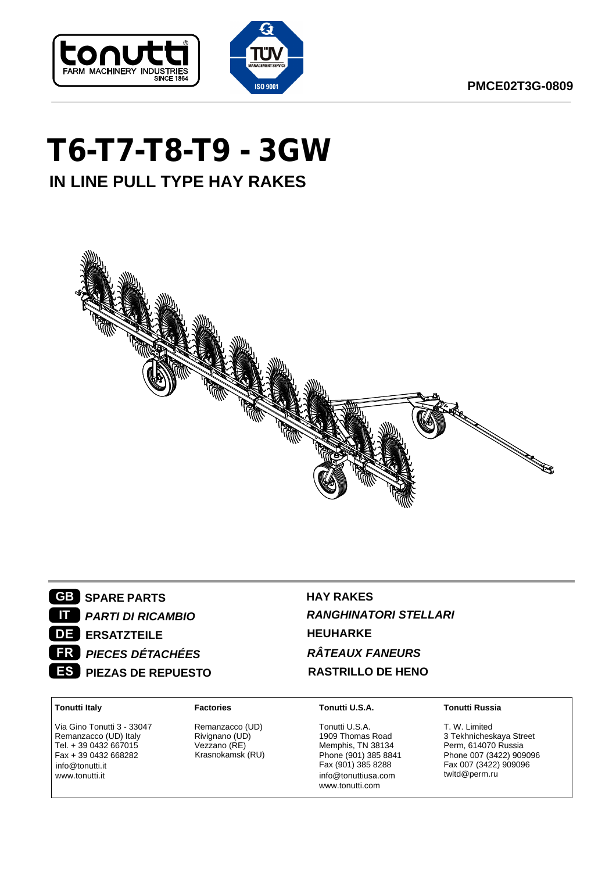**PMCE02T3G-0809**



# **T6-T7-T8-T9 - 3GW**

## **IN LINE PULL TYPE HAY RAKES**





## **HAY RAKES** *RANGHINATORI STELLARI* **HEUHARKE** *RÂTEAUX FANEURS* **RASTRILLO DE HENO**

#### **Tonutti Italy**

Via Gino Tonutti 3 - 33047 Remanzacco (UD) Italy Tel. + 39 0432 667015 Fax + 39 0432 668282 info@tonutti.it

#### **Factories**

Remanzacco (UD) Rivignano (UD) Vezzano (RE) Krasnokamsk (RU)

#### **Tonutti U.S.A.**

Tonutti U.S.A. 1909 Thomas Road Memphis, TN 38134 Phone (901) 385 8841 Fax (901) 385 8288 info@tonuttiusa.com www.tonutti.com

#### **Tonutti Russia**

T. W. Limited 3 Tekhnicheskaya Street Perm, 614070 Russia Phone 007 (3422) 909096 Fax 007 (3422) 909096 twltd@perm.ru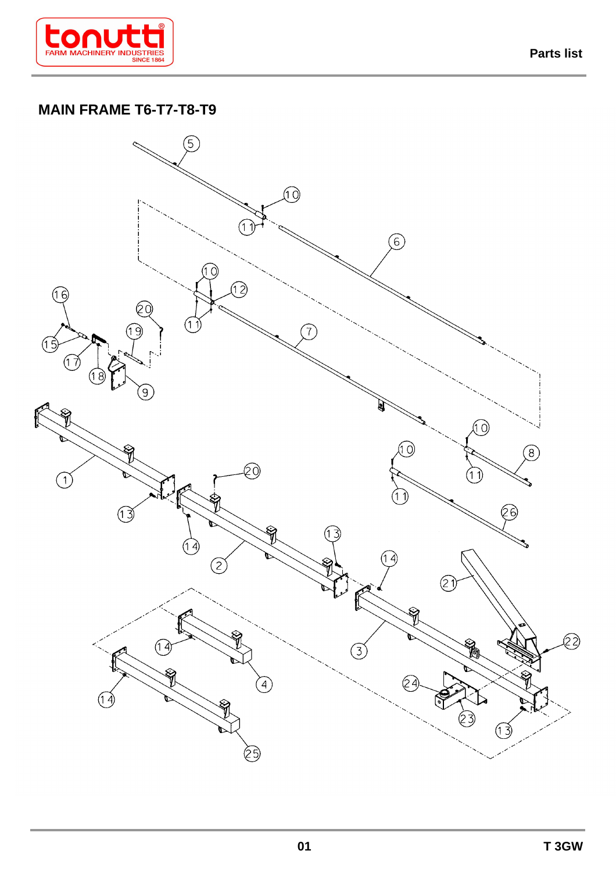

**Parts list** 

## **MAIN FRAME T6-T7-T8-T9**

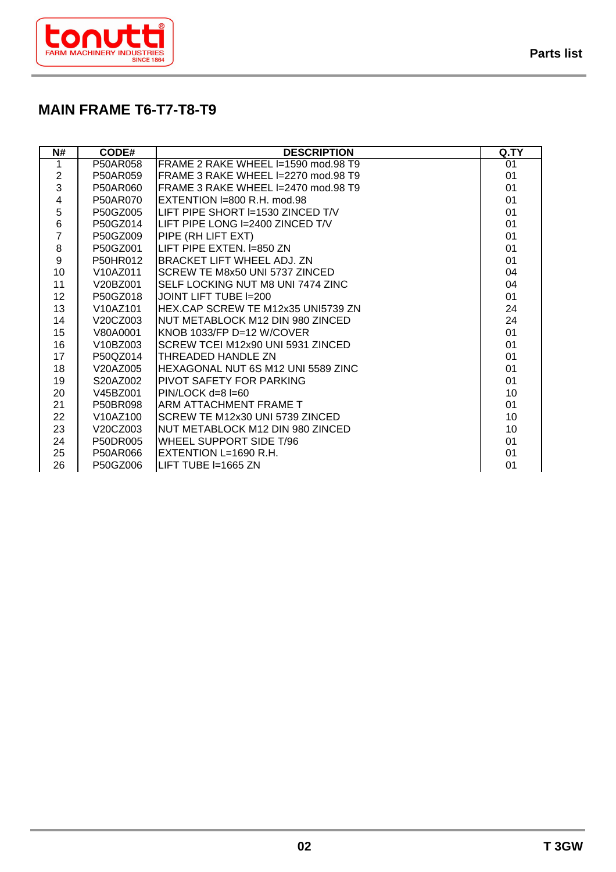

## **MAIN FRAME T6-T7-T8-T9**

| N#                      | CODE#                 | <b>DESCRIPTION</b>                  | Q.TY |
|-------------------------|-----------------------|-------------------------------------|------|
| $\mathbf 1$             | P50AR058              | FRAME 2 RAKE WHEEL I=1590 mod.98 T9 | 01   |
| $\overline{2}$          | P50AR059              | FRAME 3 RAKE WHEEL I=2270 mod.98 T9 | 01   |
| 3                       | P50AR060              | FRAME 3 RAKE WHEEL I=2470 mod.98 T9 | 01   |
| $\overline{\mathbf{4}}$ | P50AR070              | EXTENTION I=800 R.H. mod.98         | 01   |
| 5                       | P50GZ005              | LIFT PIPE SHORT I=1530 ZINCED T/V   | 01   |
| 6                       | P50GZ014              | ILIFT PIPE LONG I=2400 ZINCED T/V   | 01   |
| $\overline{7}$          | P50GZ009              | PIPE (RH LIFT EXT)                  | 01   |
| $\bf 8$                 | P50GZ001              | LIFT PIPE EXTEN. I=850 ZN           | 01   |
| 9                       | P50HR012              | <b>BRACKET LIFT WHEEL ADJ. ZN</b>   | 01   |
| 10                      | V10AZ011              | SCREW TE M8x50 UNI 5737 ZINCED      | 04   |
| 11                      | V20BZ001              | SELF LOCKING NUT M8 UNI 7474 ZINC   | 04   |
| 12                      | P50GZ018              | JOINT LIFT TUBE I=200               | 01   |
| 13                      | V10AZ101              | HEX.CAP SCREW TE M12x35 UNI5739 ZN  | 24   |
| 14                      | V20CZ003              | INUT METABLOCK M12 DIN 980 ZINCED   | 24   |
| 15                      | V80A0001              | IKNOB 1033/FP D=12 W/COVER          | 01   |
| 16                      | V <sub>10</sub> BZ003 | SCREW TCEI M12x90 UNI 5931 ZINCED   | 01   |
| 17                      | P50QZ014              | THREADED HANDLE ZN                  | 01   |
| 18                      | V20AZ005              | HEXAGONAL NUT 6S M12 UNI 5589 ZINC  | 01   |
| 19                      | S20AZ002              | <b>PIVOT SAFETY FOR PARKING</b>     | 01   |
| 20                      | V45BZ001              | PIN/LOCK d=8 I=60                   | 10   |
| 21                      | P50BR098              | <b>ARM ATTACHMENT FRAME T</b>       | 01   |
| 22                      | V10AZ100              | SCREW TE M12x30 UNI 5739 ZINCED     | 10   |
| 23                      | V20CZ003              | INUT METABLOCK M12 DIN 980 ZINCED   | 10   |
| 24                      | P50DR005              | WHEEL SUPPORT SIDE T/96             | 01   |
| 25                      | P50AR066              | EXTENTION L=1690 R.H.               | 01   |
| 26                      | P50GZ006              | LIFT TUBE I=1665 ZN                 | 01   |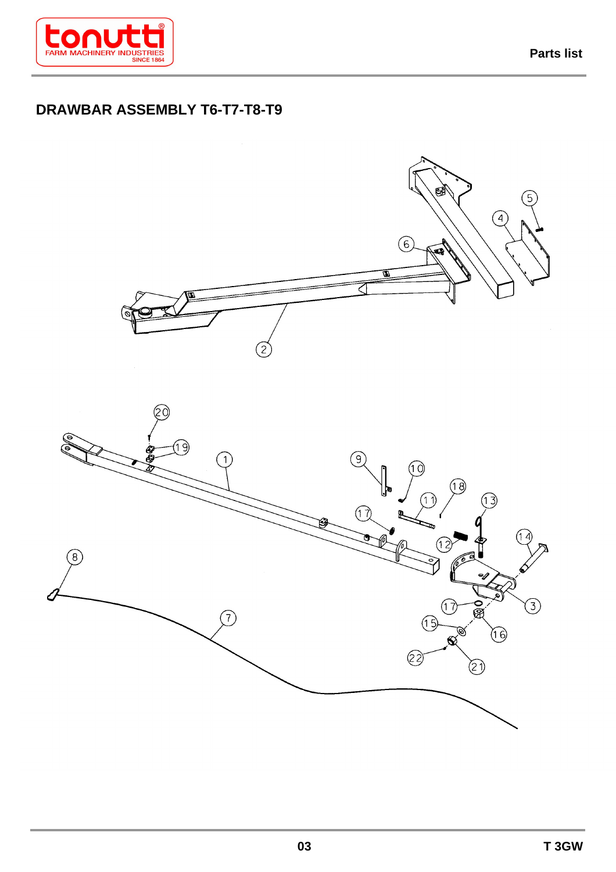

### **DRAWBAR ASSEMBLY T6-T7-T8-T9**

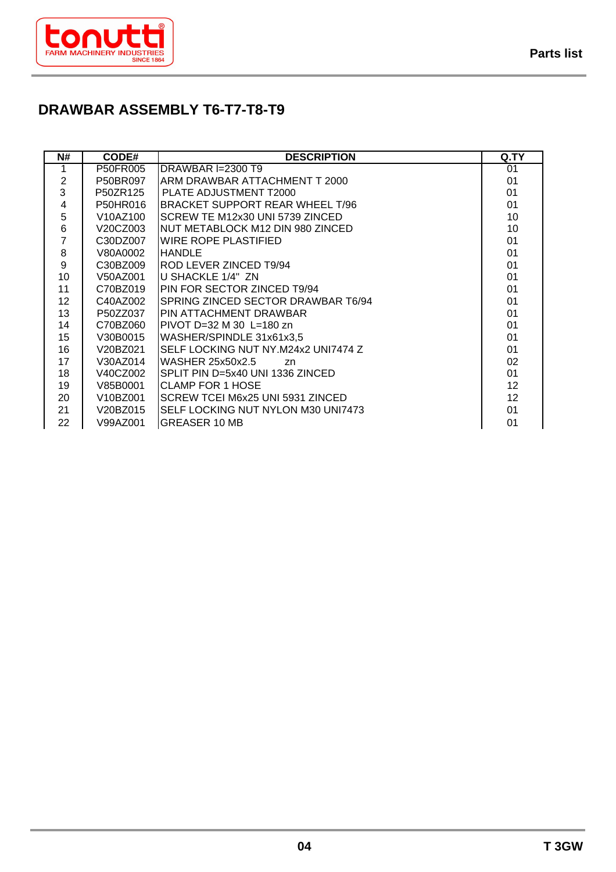

#### **DRAWBAR ASSEMBLY T6-T7-T8-T9**

| N#             | CODE#    | <b>DESCRIPTION</b>                  | Q.TY |
|----------------|----------|-------------------------------------|------|
|                | P50FR005 | <b>DRAWBAR I=2300 T9</b>            | 01   |
| $\overline{c}$ | P50BR097 | ARM DRAWBAR ATTACHMENT T 2000       | 01   |
| 3              | P50ZR125 | PLATE ADJUSTMENT T2000              | 01   |
| 4              | P50HR016 | BRACKET SUPPORT REAR WHEEL T/96     | 01   |
| 5              | V10AZ100 | SCREW TE M12x30 UNI 5739 ZINCED     | 10   |
| 6              | V20CZ003 | NUT METABLOCK M12 DIN 980 ZINCED    | 10   |
| $\overline{7}$ | C30DZ007 | <b>WIRE ROPE PLASTIFIED</b>         | 01   |
| 8              | V80A0002 | <b>HANDLE</b>                       | 01   |
| 9              | C30BZ009 | ROD LEVER ZINCED T9/94              | 01   |
| 10             | V50AZ001 | U SHACKLE 1/4" ZN                   | 01   |
| 11             | C70BZ019 | PIN FOR SECTOR ZINCED T9/94         | 01   |
| 12             | C40AZ002 | SPRING ZINCED SECTOR DRAWBAR T6/94  | 01   |
| 13             | P50ZZ037 | PIN ATTACHMENT DRAWBAR              | 01   |
| 14             | C70BZ060 | PIVOT D=32 M 30 L=180 zn            | 01   |
| 15             | V30B0015 | WASHER/SPINDLE 31x61x3,5            | 01   |
| 16             | V20BZ021 | SELF LOCKING NUT NY.M24x2 UNI7474 Z | 01   |
| 17             | V30AZ014 | <b>WASHER 25x50x2.5</b><br>zn       | 02   |
| 18             | V40CZ002 | SPLIT PIN D=5x40 UNI 1336 ZINCED    | 01   |
| 19             | V85B0001 | <b>CLAMP FOR 1 HOSE</b>             | 12   |
| 20             | V10BZ001 | SCREW TCEI M6x25 UNI 5931 ZINCED    | 12   |
| 21             | V20BZ015 | SELF LOCKING NUT NYLON M30 UNI7473  | 01   |
| 22             | V99AZ001 | <b>GREASER 10 MB</b>                | 01   |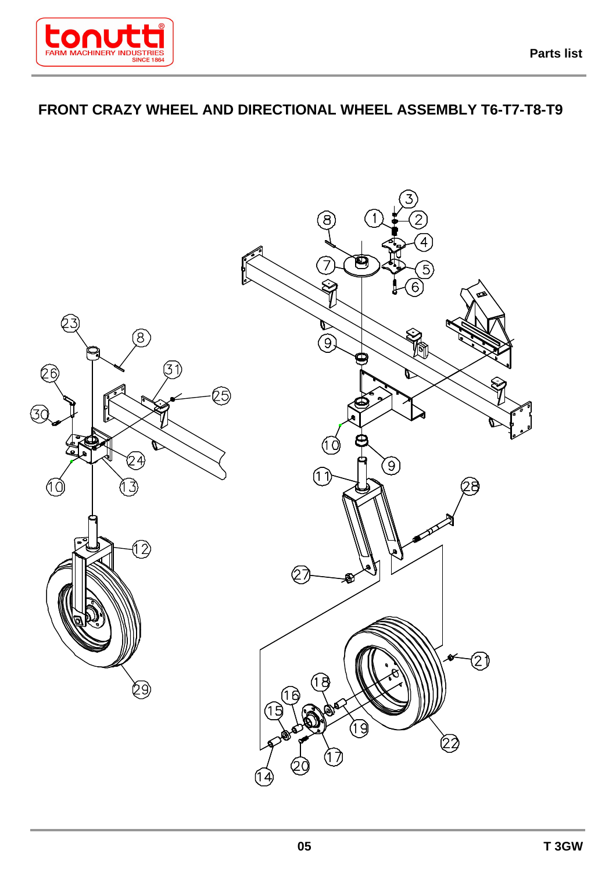

## **FRONT CRAZY WHEEL AND DIRECTIONAL WHEEL ASSEMBLY T6-T7-T8-T9**

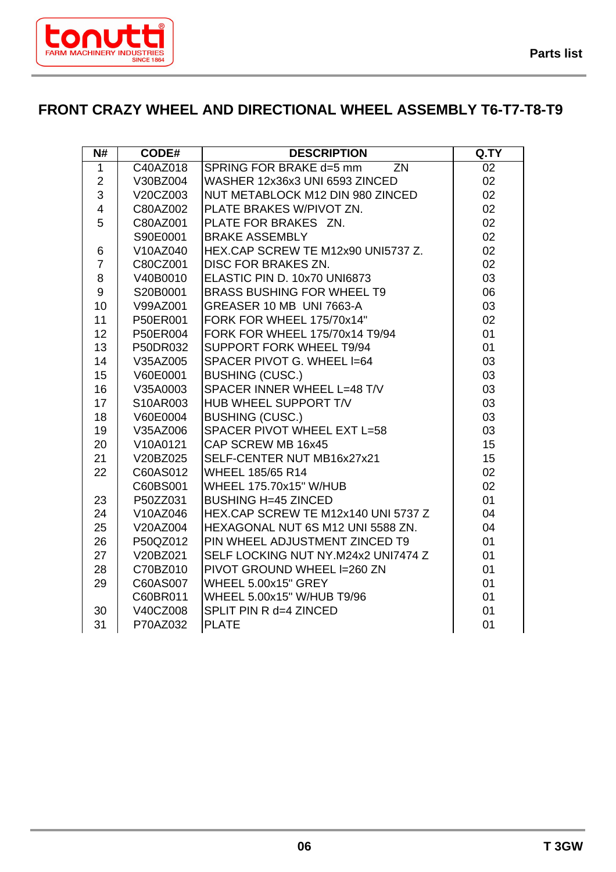

## **FRONT CRAZY WHEEL AND DIRECTIONAL WHEEL ASSEMBLY T6-T7-T8-T9**

| N#                      | CODE#    | <b>DESCRIPTION</b>                         | Q.TY            |
|-------------------------|----------|--------------------------------------------|-----------------|
| $\mathbf{1}$            | C40AZ018 | SPRING FOR BRAKE d=5 mm<br>$\overline{ZN}$ | $\overline{02}$ |
| $\overline{2}$          | V30BZ004 | WASHER 12x36x3 UNI 6593 ZINCED             | 02              |
| 3                       | V20CZ003 | NUT METABLOCK M12 DIN 980 ZINCED           | 02              |
| $\overline{\mathbf{4}}$ | C80AZ002 | IPLATE BRAKES W/PIVOT ZN.                  | 02              |
| 5                       | C80AZ001 | PLATE FOR BRAKES ZN.                       | 02              |
|                         | S90E0001 | <b>BRAKE ASSEMBLY</b>                      | 02              |
| 6                       | V10AZ040 | HEX.CAP SCREW TE M12x90 UNI5737 Z.         | 02              |
| $\overline{7}$          | C80CZ001 | DISC FOR BRAKES ZN.                        | 02              |
| 8                       | V40B0010 | ELASTIC PIN D. 10x70 UNI6873               | 03              |
| 9                       | S20B0001 | <b>BRASS BUSHING FOR WHEEL T9</b>          | 06              |
| 10                      | V99AZ001 | GREASER 10 MB UNI 7663-A                   | 03              |
| 11                      | P50ER001 | FORK FOR WHEEL 175/70x14"                  | 02              |
| 12                      | P50ER004 | FORK FOR WHEEL 175/70x14 T9/94             | 01              |
| 13                      | P50DR032 | SUPPORT FORK WHEEL T9/94                   | 01              |
| 14                      | V35AZ005 | SPACER PIVOT G. WHEEL I=64                 | 03              |
| 15                      | V60E0001 | <b>BUSHING (CUSC.)</b>                     | 03              |
| 16                      | V35A0003 | SPACER INNER WHEEL L=48 T/V                | 03              |
| 17                      | S10AR003 | HUB WHEEL SUPPORT T/V                      | 03              |
| 18                      | V60E0004 | <b>BUSHING (CUSC.)</b>                     | 03              |
| 19                      | V35AZ006 | SPACER PIVOT WHEEL EXT L=58                | 03              |
| 20                      | V10A0121 | <b>CAP SCREW MB 16x45</b>                  | 15              |
| 21                      | V20BZ025 | SELF-CENTER NUT MB16x27x21                 | 15              |
| 22                      | C60AS012 | <b>WHEEL 185/65 R14</b>                    | 02              |
|                         | C60BS001 | <b>WHEEL 175.70x15" W/HUB</b>              | 02              |
| 23                      | P50ZZ031 | <b>BUSHING H=45 ZINCED</b>                 | 01              |
| 24                      | V10AZ046 | HEX, CAP SCREW TE M12x140 UNI 5737 Z       | 04              |
| 25                      | V20AZ004 | HEXAGONAL NUT 6S M12 UNI 5588 ZN.          | 04              |
| 26                      | P50QZ012 | PIN WHEEL ADJUSTMENT ZINCED T9             | 01              |
| 27                      | V20BZ021 | SELF LOCKING NUT NY.M24x2 UNI7474 Z        | 01              |
| 28                      | C70BZ010 | <b>PIVOT GROUND WHEEL I=260 ZN</b>         | 01              |
| 29                      | C60AS007 | WHEEL 5.00x15" GREY                        | 01              |
|                         | C60BR011 | WHEEL 5.00x15" W/HUB T9/96                 | 01              |
| 30                      | V40CZ008 | SPLIT PIN R d=4 ZINCED                     | 01              |
| 31                      | P70AZ032 | <b>PLATE</b>                               | 01              |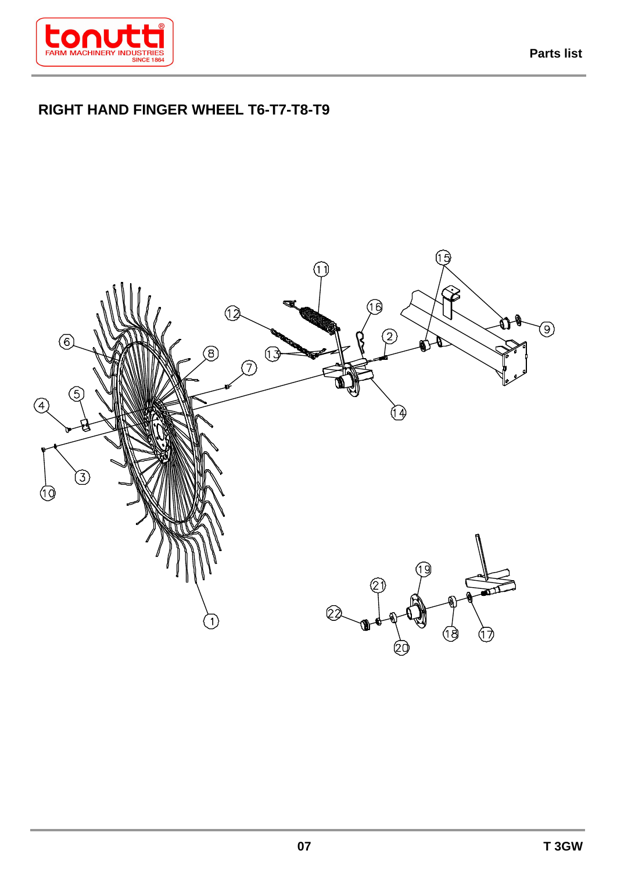

**Parts list** 

## **RIGHT HAND FINGER WHEEL T6-T7-T8-T9**

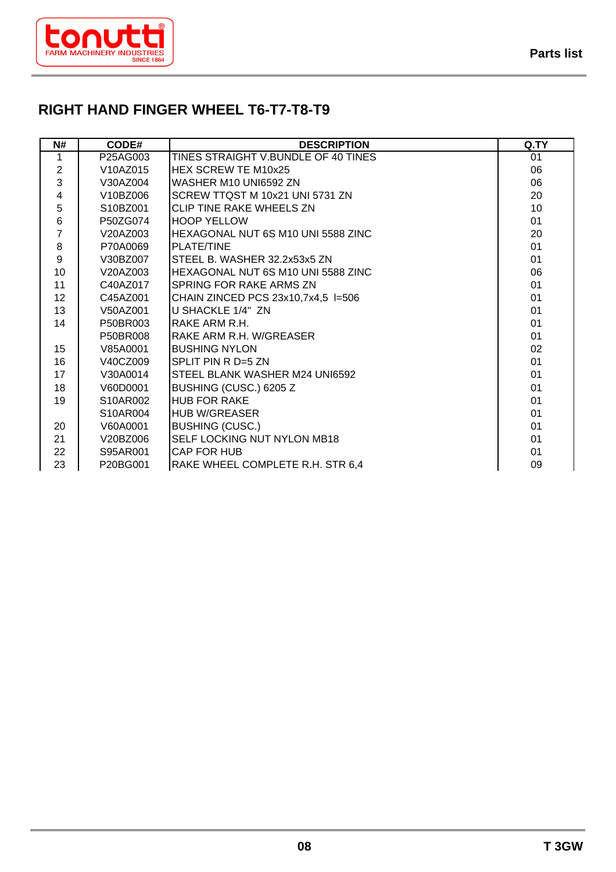

#### **RIGHT HAND FINGER WHEEL T6-T7-T8-T9**

| N#               | CODE#    | <b>DESCRIPTION</b>                   | Q.TY |
|------------------|----------|--------------------------------------|------|
| 1                | P25AG003 | TINES STRAIGHT V.BUNDLE OF 40 TINES  | 01   |
| $\overline{2}$   | V10AZ015 | <b>HEX SCREW TE M10x25</b>           | 06   |
| $\overline{3}$   | V30AZ004 | WASHER M10 UNI6592 ZN                | 06   |
| 4                | V10BZ006 | SCREW TTQST M 10x21 UNI 5731 ZN      | 20   |
| 5                | S10BZ001 | <b>CLIP TINE RAKE WHEELS ZN</b>      | 10   |
| $\,6$            | P50ZG074 | <b>HOOP YELLOW</b>                   | 01   |
| $\overline{7}$   | V20AZ003 | HEXAGONAL NUT 6S M10 UNI 5588 ZINC   | 20   |
| $\bf8$           | P70A0069 | PLATE/TINE                           | 01   |
| $\boldsymbol{9}$ | V30BZ007 | STEEL B. WASHER 32.2x53x5 ZN         | 01   |
| 10               | V20AZ003 | HEXAGONAL NUT 6S M10 UNI 5588 ZINC   | 06   |
| 11               | C40AZ017 | <b>SPRING FOR RAKE ARMS ZN</b>       | 01   |
| 12               | C45AZ001 | CHAIN ZINCED PCS $23x10,7x4,5$ I=506 | 01   |
| 13               | V50AZ001 | U SHACKLE 1/4" ZN                    | 01   |
| 14               | P50BR003 | RAKE ARM R.H.                        | 01   |
|                  | P50BR008 | RAKE ARM R.H. W/GREASER              | 01   |
| 15               | V85A0001 | <b>BUSHING NYLON</b>                 | 02   |
| 16               | V40CZ009 | SPLIT PIN R D=5 ZN                   | 01   |
| 17               | V30A0014 | STEEL BLANK WASHER M24 UNI6592       | 01   |
| 18               | V60D0001 | BUSHING (CUSC.) 6205 Z               | 01   |
| 19               | S10AR002 | <b>HUB FOR RAKE</b>                  | 01   |
|                  | S10AR004 | <b>HUB W/GREASER</b>                 | 01   |
| 20               | V60A0001 | <b>BUSHING (CUSC.)</b>               | 01   |
| 21               | V20BZ006 | <b>SELF LOCKING NUT NYLON MB18</b>   | 01   |
| 22               | S95AR001 | CAP FOR HUB                          | 01   |
| 23               | P20BG001 | RAKE WHEEL COMPLETE R.H. STR 6,4     | 09   |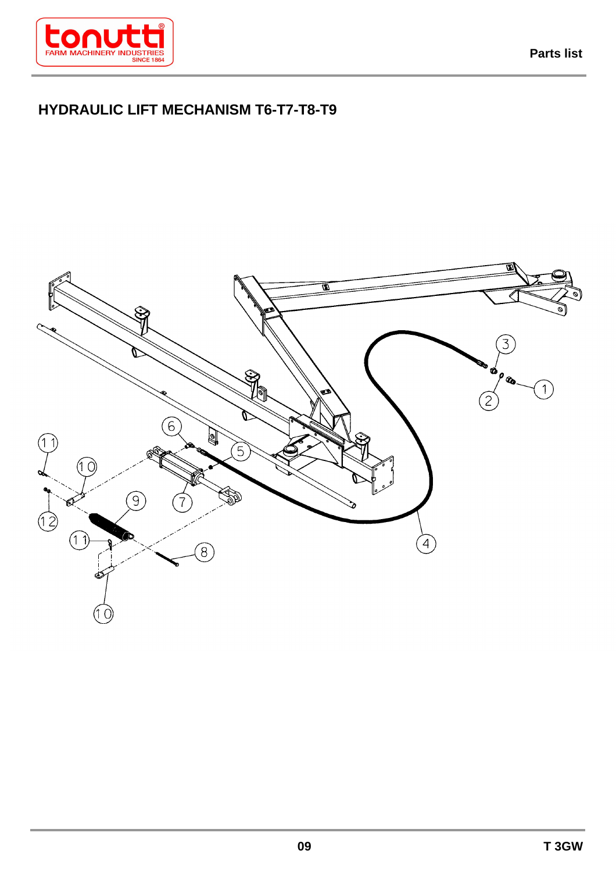

**Parts list** 

#### **HYDRAULIC LIFT MECHANISM T6-T7-T8-T9**

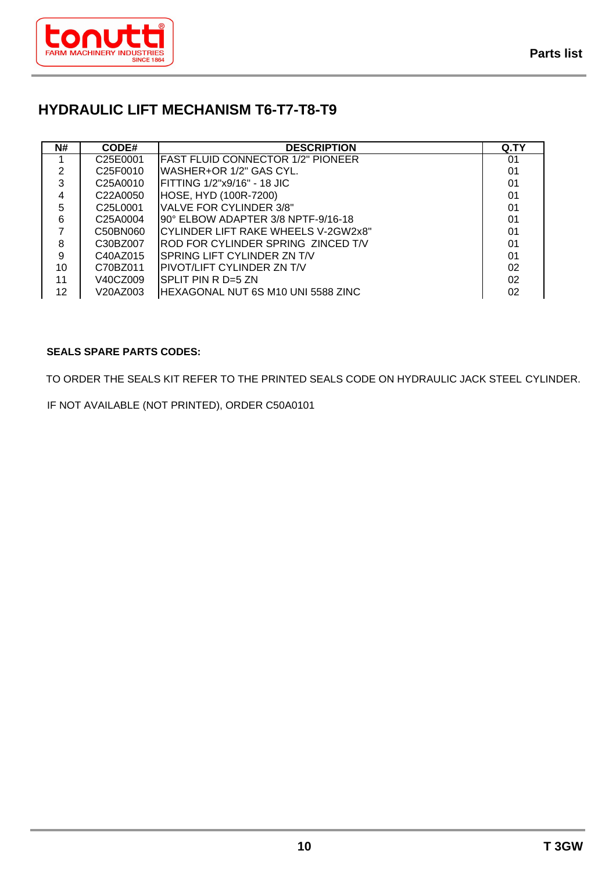

#### **HYDRAULIC LIFT MECHANISM T6-T7-T8-T9**

| <b>N#</b> | CODE#                             | <b>DESCRIPTION</b>                  | Q.TY |
|-----------|-----------------------------------|-------------------------------------|------|
|           | C25E0001                          | IFAST FLUID CONNECTOR 1/2" PIONEER  | 01   |
| 2         | C <sub>25</sub> F <sub>0010</sub> | WASHER+OR 1/2" GAS CYL.             | 01   |
| 3         | C <sub>25</sub> A0010             | IFITTING 1/2"x9/16" - 18 JIC        | 01   |
| 4         | C <sub>22</sub> A0050             | HOSE, HYD (100R-7200)               | 01   |
| 5         | C <sub>25</sub> L <sub>0001</sub> | VALVE FOR CYLINDER 3/8"             | 01   |
| 6         | C <sub>25</sub> A0004             | 90° ELBOW ADAPTER 3/8 NPTF-9/16-18  | 01   |
|           | C50BN060                          | CYLINDER LIFT RAKE WHEELS V-2GW2x8" | 01   |
| 8         | C30BZ007                          | ROD FOR CYLINDER SPRING ZINCED T/V  | 01   |
| 9         | C40AZ015                          | <b>SPRING LIFT CYLINDER ZN T/V</b>  | 01   |
| 10        | C70BZ011                          | PIVOT/LIFT CYLINDER ZN T/V          | 02   |
| 11        | V40CZ009                          | ISPLIT PIN R D=5 ZN                 | 02   |
| 12        | V20AZ003                          | HEXAGONAL NUT 6S M10 UNI 5588 ZINC  | 02   |

#### **SEALS SPARE PARTS CODES:**

TO ORDER THE SEALS KIT REFER TO THE PRINTED SEALS CODE ON HYDRAULIC JACK STEEL CYLINDER.

IF NOT AVAILABLE (NOT PRINTED), ORDER C50A0101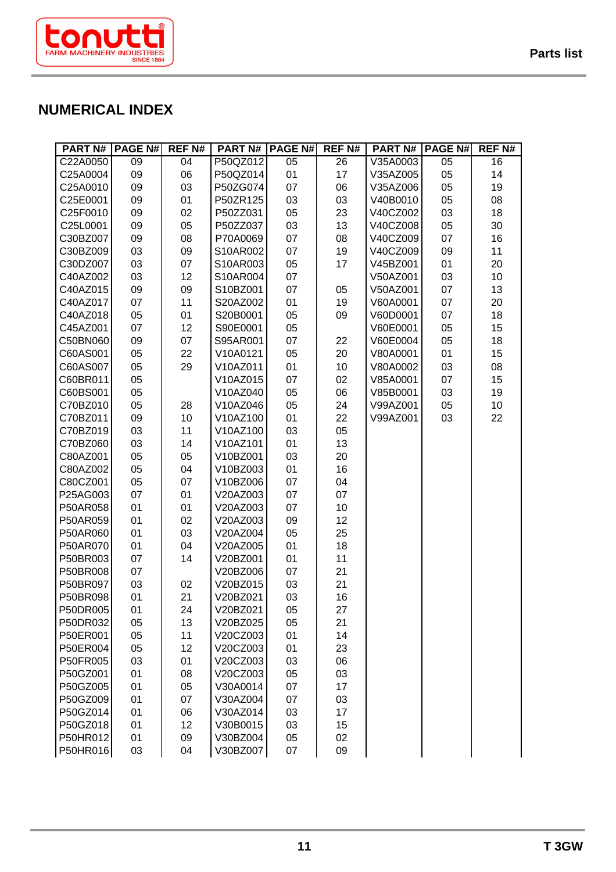

### **NUMERICAL INDEX**

| <b>PART N#</b> | <b>PAGE N#</b> | <b>REF N#</b> | <b>PART N#</b> | <b>PAGE N#</b> | <b>REFN#</b> | <b>PART N#</b> | <b>PAGE N#</b> | REF <sub>N#</sub> |
|----------------|----------------|---------------|----------------|----------------|--------------|----------------|----------------|-------------------|
| C22A0050       | 09             | 04            | P50QZ012       | 05             | 26           | V35A0003       | 05             | 16                |
| C25A0004       | 09             | 06            | P50QZ014       | 01             | 17           | V35AZ005       | 05             | 14                |
| C25A0010       | 09             | 03            | P50ZG074       | 07             | 06           | V35AZ006       | 05             | 19                |
| C25E0001       | 09             | 01            | P50ZR125       | 03             | 03           | V40B0010       | 05             | 08                |
| C25F0010       | 09             | 02            | P50ZZ031       | 05             | 23           | V40CZ002       | 03             | 18                |
| C25L0001       | 09             | 05            | P50ZZ037       | 03             | 13           | V40CZ008       | 05             | 30                |
| C30BZ007       | 09             | 08            | P70A0069       | 07             | 08           | V40CZ009       | 07             | 16                |
| C30BZ009       | 03             | 09            | S10AR002       | 07             | 19           | V40CZ009       | 09             | 11                |
| C30DZ007       | 03             | 07            | S10AR003       | 05             | 17           | V45BZ001       | 01             | 20                |
| C40AZ002       | 03             | 12            | S10AR004       | 07             |              | V50AZ001       | 03             | 10                |
| C40AZ015       | 09             | 09            | S10BZ001       | 07             | 05           | V50AZ001       | 07             | 13                |
| C40AZ017       | 07             | 11            | S20AZ002       | 01             | 19           | V60A0001       | 07             | 20                |
| C40AZ018       | 05             | 01            | S20B0001       | 05             | 09           | V60D0001       | 07             | 18                |
| C45AZ001       | 07             | 12            | S90E0001       | 05             |              | V60E0001       | 05             | 15                |
| C50BN060       | 09             | 07            | S95AR001       | 07             | 22           | V60E0004       | 05             | 18                |
| C60AS001       | 05             | 22            | V10A0121       | 05             | 20           | V80A0001       | 01             | 15                |
| C60AS007       | 05             | 29            | V10AZ011       | 01             | 10           | V80A0002       | 03             | 08                |
| C60BR011       | 05             |               | V10AZ015       | 07             | 02           | V85A0001       | 07             | 15                |
| C60BS001       | 05             |               | V10AZ040       | 05             | 06           | V85B0001       | 03             | 19                |
| C70BZ010       | 05             | 28            | V10AZ046       | 05             | 24           | V99AZ001       | 05             | 10                |
| C70BZ011       | 09             | 10            | V10AZ100       | 01             | 22           | V99AZ001       | 03             | 22                |
| C70BZ019       | 03             | 11            | V10AZ100       | 03             | 05           |                |                |                   |
| C70BZ060       | 03             | 14            | V10AZ101       | 01             | 13           |                |                |                   |
|                |                |               | V10BZ001       |                |              |                |                |                   |
| C80AZ001       | 05             | 05            |                | 03             | 20           |                |                |                   |
| C80AZ002       | 05             | 04            | V10BZ003       | 01             | 16           |                |                |                   |
| C80CZ001       | 05             | 07            | V10BZ006       | 07             | 04           |                |                |                   |
| P25AG003       | 07             | 01            | V20AZ003       | 07             | 07           |                |                |                   |
| P50AR058       | 01             | 01            | V20AZ003       | 07             | 10           |                |                |                   |
| P50AR059       | 01             | 02            | V20AZ003       | 09             | 12           |                |                |                   |
| P50AR060       | 01             | 03            | V20AZ004       | 05             | 25           |                |                |                   |
| P50AR070       | 01             | 04            | V20AZ005       | 01             | 18           |                |                |                   |
| P50BR003       | 07             | 14            | V20BZ001       | 01             | 11           |                |                |                   |
| P50BR008       | 07             |               | V20BZ006       | 07             | 21           |                |                |                   |
| P50BR097       | 03             | 02            | V20BZ015       | 03             | 21           |                |                |                   |
| P50BR098       | 01             | 21            | V20BZ021       | 03             | 16           |                |                |                   |
| P50DR005       | 01             | 24            | V20BZ021       | 05             | 27           |                |                |                   |
| P50DR032       | 05             | 13            | V20BZ025       | 05             | 21           |                |                |                   |
| P50ER001       | 05             | 11            | V20CZ003       | 01             | 14           |                |                |                   |
| P50ER004       | 05             | 12            | V20CZ003       | 01             | 23           |                |                |                   |
| P50FR005       | 03             | 01            | V20CZ003       | 03             | 06           |                |                |                   |
| P50GZ001       | 01             | 08            | V20CZ003       | 05             | 03           |                |                |                   |
| P50GZ005       | 01             | 05            | V30A0014       | 07             | 17           |                |                |                   |
| P50GZ009       | 01             | 07            | V30AZ004       | 07             | 03           |                |                |                   |
| P50GZ014       | 01             | 06            | V30AZ014       | 03             | 17           |                |                |                   |
| P50GZ018       | 01             | 12            | V30B0015       | 03             | 15           |                |                |                   |
| P50HR012       | 01             | 09            | V30BZ004       | 05             | 02           |                |                |                   |
| P50HR016       | 03             | 04            | V30BZ007       | 07             | 09           |                |                |                   |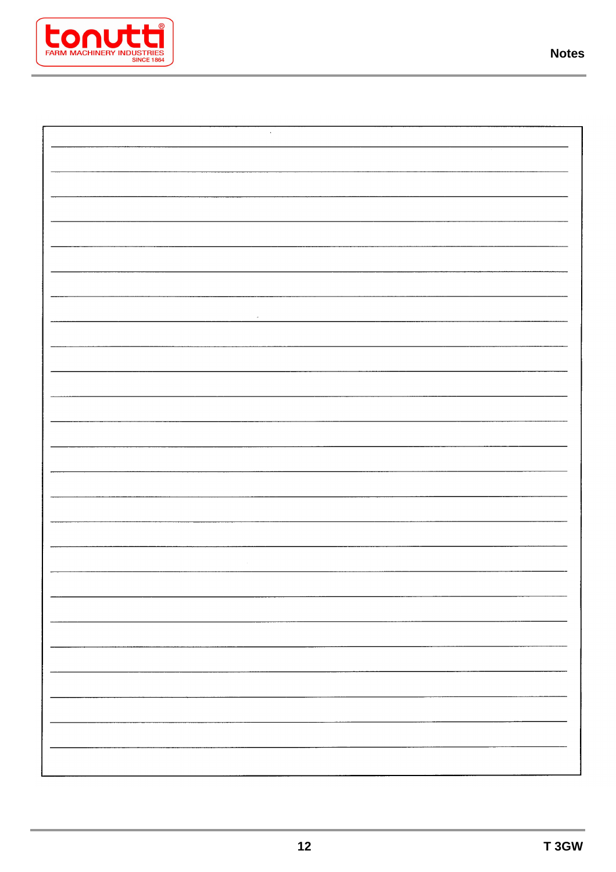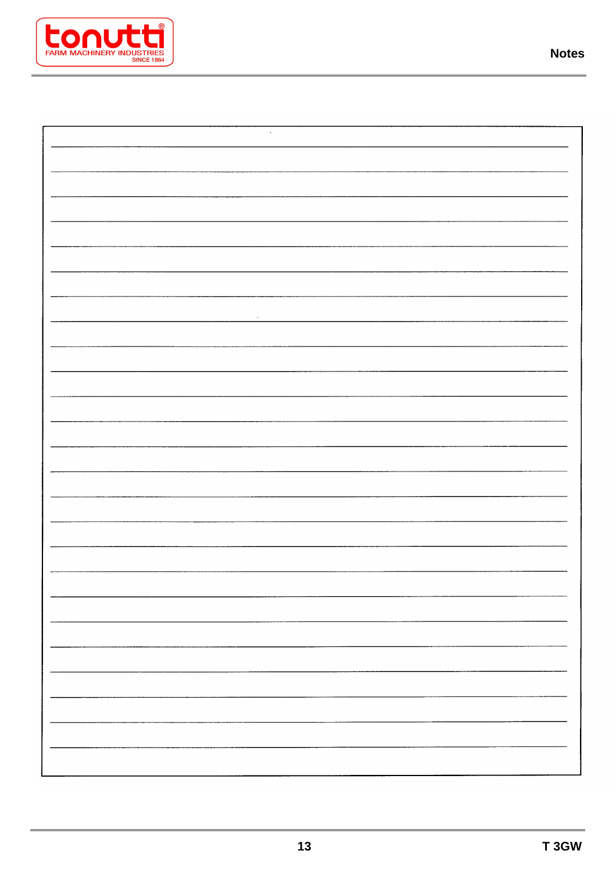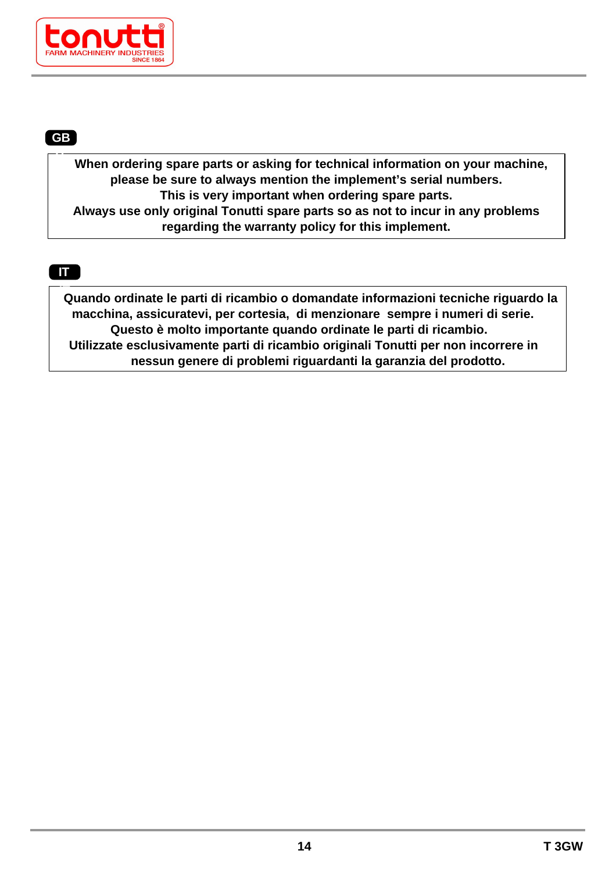

#### **GB IT**

**When ordering spare parts or asking for technical information on your machine, please be sure to always mention the implement's serial numbers. This is very important when ordering spare parts. Always use only original Tonutti spare parts so as not to incur in any problems regarding the warranty policy for this implement.**

#### **IT**

**IT Quando ordinate le parti di ricambio o domandate informazioni tecniche riguardo la** DE **macchina, assicuratevi, per cortesia, di menzionare sempre i numeri di serie.** ES **Utilizzate esclusivamente parti di ricambio originali Tonutti per non incorrere in Questo è molto importante quando ordinate le parti di ricambio. nessun genere di problemi riguardanti la garanzia del prodotto.**